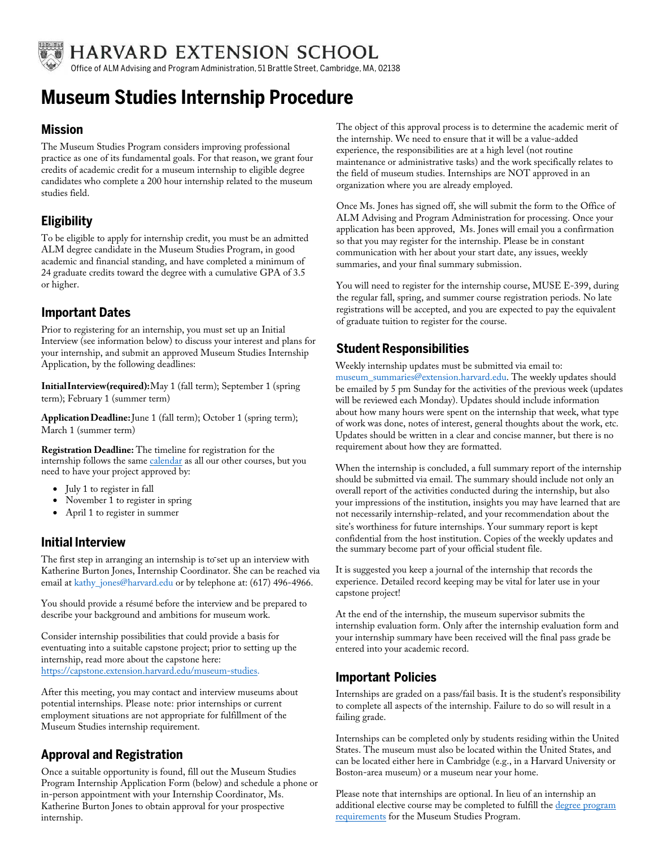

**HARVARD EXTENSION SCHOOL** 

Office of ALM Advising and Program Administration, 51 Brattle Street, Cambridge, MA, 02138

# **Museum Studies Internship Procedure**

#### **Mission**

The Museum Studies Program considers improving professional practice as one of its fundamental goals. For that reason, we grant four credits of academic credit for a museum internship to eligible degree candidates who complete a 200 hour internship related to the museum studies field.

## **Eligibility**

To be eligible to apply for internship credit, you must be an admitted ALM degree candidate in the Museum Studies Program, in good academic and financial standing, and have completed a minimum of 24 graduate credits toward the degree with a cumulative GPA of 3.5 or higher.

#### **Important Dates**

Prior to registering for an internship, you must set up an Initial Interview (see information below) to discuss your interest and plans for your internship, and submit an approved Museum Studies Internship Application, by the following deadlines:

**InitialInterview(required):**May 1 (fall term); September 1 (spring term); February 1 (summer term)

**ApplicationDeadline:**June 1 (fall term); October 1 (spring term); March 1 (summer term)

**Registration Deadline:** The timeline for registration for the internship follows the same [calendar as all](https://extension.harvard.edu/registration-admissions/academic-calendar/) our other courses, but you need to have your project approved by:

- July 1 to register in fall
- November 1 to register in spring
- April 1 to register in summer

#### **Initial Interview**

The first step in arranging an internship is to set up an interview with Katherine Burton Jones, Internship Coordinator. She can be reached via email at kathy\_jones@harvard.edu or by telephone at: (617) 496-4966.

You should provide a résumé before the interview and be prepared to describe your background and ambitions for museum work.

Consider internship possibilities that could provide a basis for eventuating into a suitable capstone project; prior to setting up the internship, read more about the capstone here: [https://capstone.extension.harvard.edu/museum-studies.](https://capstone.extension.harvard.edu/museum-studies)

After this meeting, you may contact and interview museums about potential internships. Please note: prior internships or current employment situations are not appropriate for fulfillment of the Museum Studies internship requirement.

#### **Approval and Registration**

Once a suitable opportunity is found, fill out the Museum Studies Program Internship Application Form (below) and schedule a phone or in-person appointment with your Internship Coordinator, Ms. Katherine Burton Jones to obtain approval for your prospective internship.

The object of this approval process is to determine the academic merit of the internship. We need to ensure that it will be a value-added experience, the responsibilities are at a high level (not routine maintenance or administrative tasks) and the work specifically relates to the field of museum studies. Internships are NOT approved in an organization where you are already employed.

Once Ms. Jones has signed off, she will submit the form to the Office of ALM Advising and Program Administration for processing. Once your application has been approved, Ms. Jones will email you a confirmation so that you may register for the internship. Please be in constant communication with her about your start date, any issues, weekly summaries, and your final summary submission.

You will need to register for the internship course, MUSE E-399, during the regular fall, spring, and summer course registration periods. No late registrations will be accepted, and you are expected to pay the equivalent of graduate tuition to register for the course.

### **Student Responsibilities**

Weekly internship updates must be submitted via email to: [museum\\_summaries@extension.harvard.edu. The we](mailto: museum_summaries@extension.harvard.edu)ekly updates should be emailed by 5 pm Sunday for the activities of the previous week (updates will be reviewed each Monday). Updates should include information about how many hours were spent on the internship that week, what type of work was done, notes of interest, general thoughts about the work, etc. Updates should be written in a clear and concise manner, but there is no requirement about how they are formatted.

When the internship is concluded, a full summary report of the internship should be submitted via email. The summary should include not only an overall report of the activities conducted during the internship, but also your impressions of the institution, insights you may have learned that are not necessarily internship-related, and your recommendation about the site's worthiness for future internships. Your summary report is kept confidential from the host institution. Copies of the weekly updates and the summary become part of your official student file.

It is suggested you keep a journal of the internship that records the experience. Detailed record keeping may be vital for later use in your capstone project!

At the end of the internship, the museum supervisor submits the internship evaluation form. Only after the internship evaluation form and your internship summary have been received will the final pass grade be entered into your academic record.

#### **Important Policies**

Internships are graded on a pass/fail basis. It is the student's responsibility to complete all aspects of the internship. Failure to do so will result in a failing grade.

Internships can be completed only by students residing within the United States. The museum must also be located within the United States, and can be located either here in Cambridge (e.g., in a Harvard University or Boston-area museum) or a museum near your home.

Please note that internships are optional. In lieu of an internship an [additional elective course may be completed to](https://extension.harvard.edu/academics/programs/museum-studies-graduate-program/museum-studies-degree-requirements/) fulfill the degree program requirements for the Museum Studies Program.